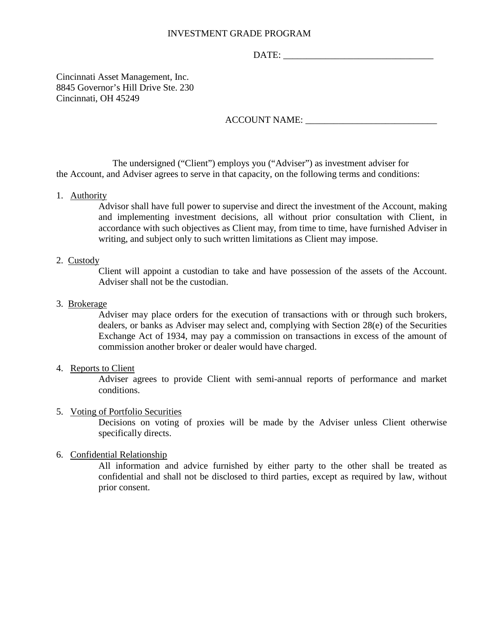# INVESTMENT GRADE PROGRAM

DATE:

Cincinnati Asset Management, Inc. 8845 Governor's Hill Drive Ste. 230 Cincinnati, OH 45249

ACCOUNT NAME: \_\_\_\_\_\_\_\_\_\_\_\_\_\_\_\_\_\_\_\_\_\_\_\_\_\_\_\_

The undersigned ("Client") employs you ("Adviser") as investment adviser for the Account, and Adviser agrees to serve in that capacity, on the following terms and conditions:

1. Authority

Advisor shall have full power to supervise and direct the investment of the Account, making and implementing investment decisions, all without prior consultation with Client, in accordance with such objectives as Client may, from time to time, have furnished Adviser in writing, and subject only to such written limitations as Client may impose.

# 2. Custody

Client will appoint a custodian to take and have possession of the assets of the Account. Adviser shall not be the custodian.

# 3. Brokerage

Adviser may place orders for the execution of transactions with or through such brokers, dealers, or banks as Adviser may select and, complying with Section 28(e) of the Securities Exchange Act of 1934, may pay a commission on transactions in excess of the amount of commission another broker or dealer would have charged.

## 4. Reports to Client

Adviser agrees to provide Client with semi-annual reports of performance and market conditions.

# 5. Voting of Portfolio Securities

Decisions on voting of proxies will be made by the Adviser unless Client otherwise specifically directs.

## 6. Confidential Relationship

All information and advice furnished by either party to the other shall be treated as confidential and shall not be disclosed to third parties, except as required by law, without prior consent.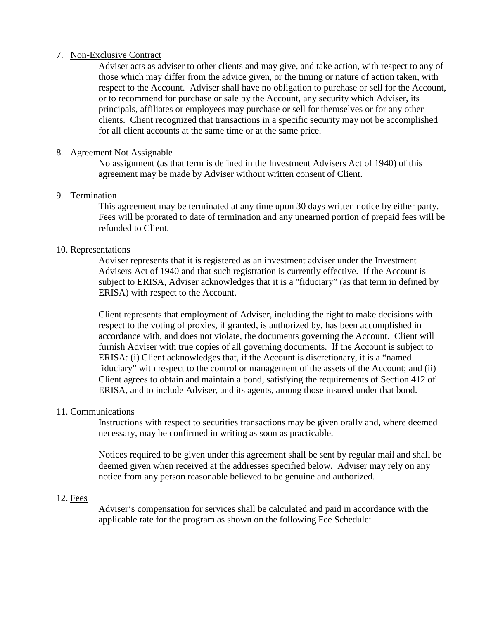# 7. Non-Exclusive Contract

Adviser acts as adviser to other clients and may give, and take action, with respect to any of those which may differ from the advice given, or the timing or nature of action taken, with respect to the Account. Adviser shall have no obligation to purchase or sell for the Account, or to recommend for purchase or sale by the Account, any security which Adviser, its principals, affiliates or employees may purchase or sell for themselves or for any other clients. Client recognized that transactions in a specific security may not be accomplished for all client accounts at the same time or at the same price.

# 8. Agreement Not Assignable

No assignment (as that term is defined in the Investment Advisers Act of 1940) of this agreement may be made by Adviser without written consent of Client.

# 9. Termination

This agreement may be terminated at any time upon 30 days written notice by either party. Fees will be prorated to date of termination and any unearned portion of prepaid fees will be refunded to Client.

# 10. Representations

Adviser represents that it is registered as an investment adviser under the Investment Advisers Act of 1940 and that such registration is currently effective. If the Account is subject to ERISA, Adviser acknowledges that it is a "fiduciary" (as that term in defined by ERISA) with respect to the Account.

Client represents that employment of Adviser, including the right to make decisions with respect to the voting of proxies, if granted, is authorized by, has been accomplished in accordance with, and does not violate, the documents governing the Account. Client will furnish Adviser with true copies of all governing documents. If the Account is subject to ERISA: (i) Client acknowledges that, if the Account is discretionary, it is a "named fiduciary" with respect to the control or management of the assets of the Account; and (ii) Client agrees to obtain and maintain a bond, satisfying the requirements of Section 412 of ERISA, and to include Adviser, and its agents, among those insured under that bond.

# 11. Communications

Instructions with respect to securities transactions may be given orally and, where deemed necessary, may be confirmed in writing as soon as practicable.

Notices required to be given under this agreement shall be sent by regular mail and shall be deemed given when received at the addresses specified below. Adviser may rely on any notice from any person reasonable believed to be genuine and authorized.

## 12. Fees

Adviser's compensation for services shall be calculated and paid in accordance with the applicable rate for the program as shown on the following Fee Schedule: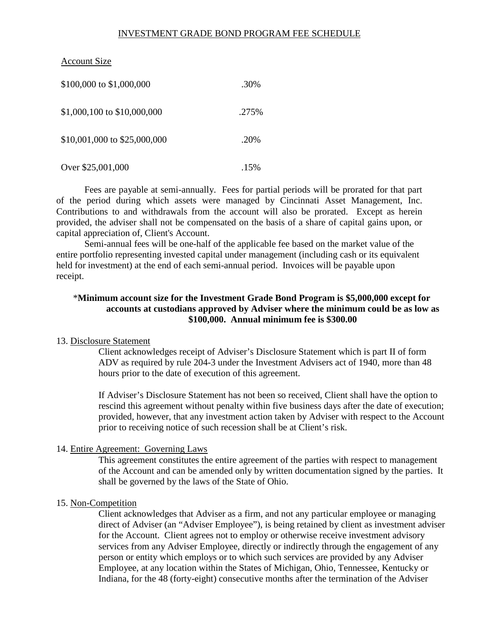# INVESTMENT GRADE BOND PROGRAM FEE SCHEDULE

# Account Size

| \$100,000 to \$1,000,000     | .30%  |
|------------------------------|-------|
| \$1,000,100 to \$10,000,000  | .275% |
| \$10,001,000 to \$25,000,000 | .20%  |
| Over \$25,001,000            | .15%  |

Fees are payable at semi-annually. Fees for partial periods will be prorated for that part of the period during which assets were managed by Cincinnati Asset Management, Inc. Contributions to and withdrawals from the account will also be prorated. Except as herein provided, the adviser shall not be compensated on the basis of a share of capital gains upon, or capital appreciation of, Client's Account.

Semi-annual fees will be one-half of the applicable fee based on the market value of the entire portfolio representing invested capital under management (including cash or its equivalent held for investment) at the end of each semi-annual period. Invoices will be payable upon receipt.

# \***Minimum account size for the Investment Grade Bond Program is \$5,000,000 except for accounts at custodians approved by Adviser where the minimum could be as low as \$100,000. Annual minimum fee is \$300.00**

## 13. Disclosure Statement

Client acknowledges receipt of Adviser's Disclosure Statement which is part II of form ADV as required by rule 204-3 under the Investment Advisers act of 1940, more than 48 hours prior to the date of execution of this agreement.

If Adviser's Disclosure Statement has not been so received, Client shall have the option to rescind this agreement without penalty within five business days after the date of execution; provided, however, that any investment action taken by Adviser with respect to the Account prior to receiving notice of such recession shall be at Client's risk.

## 14. Entire Agreement: Governing Laws

This agreement constitutes the entire agreement of the parties with respect to management of the Account and can be amended only by written documentation signed by the parties. It shall be governed by the laws of the State of Ohio.

#### 15. Non-Competition

Client acknowledges that Adviser as a firm, and not any particular employee or managing direct of Adviser (an "Adviser Employee"), is being retained by client as investment adviser for the Account. Client agrees not to employ or otherwise receive investment advisory services from any Adviser Employee, directly or indirectly through the engagement of any person or entity which employs or to which such services are provided by any Adviser Employee, at any location within the States of Michigan, Ohio, Tennessee, Kentucky or Indiana, for the 48 (forty-eight) consecutive months after the termination of the Adviser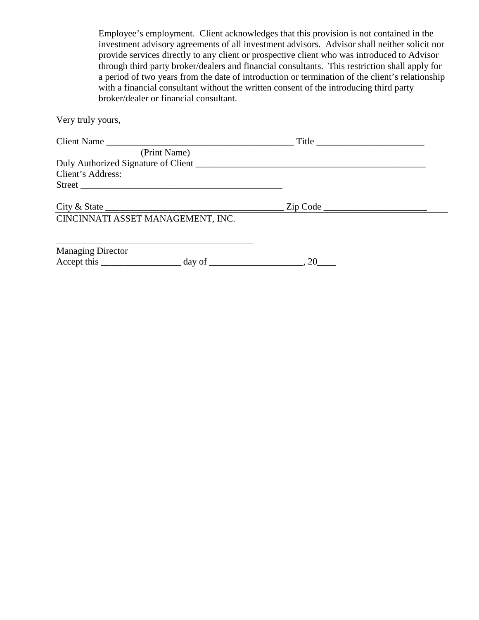Employee's employment. Client acknowledges that this provision is not contained in the investment advisory agreements of all investment advisors. Advisor shall neither solicit nor provide services directly to any client or prospective client who was introduced to Advisor through third party broker/dealers and financial consultants. This restriction shall apply for a period of two years from the date of introduction or termination of the client's relationship with a financial consultant without the written consent of the introducing third party broker/dealer or financial consultant.

Very truly yours,

| Client Name                                                            |                   |  |
|------------------------------------------------------------------------|-------------------|--|
| (Print Name)                                                           |                   |  |
| Duly Authorized Signature of Client                                    |                   |  |
| Client's Address:                                                      |                   |  |
| Street                                                                 |                   |  |
| City & State                                                           | $\text{Zip Code}$ |  |
| CINCINNATI ASSET MANAGEMENT, INC.                                      |                   |  |
|                                                                        |                   |  |
| <b>Managing Director</b>                                               |                   |  |
| $Accept this ________ and a way of ________, 20 ________, 20 ________$ |                   |  |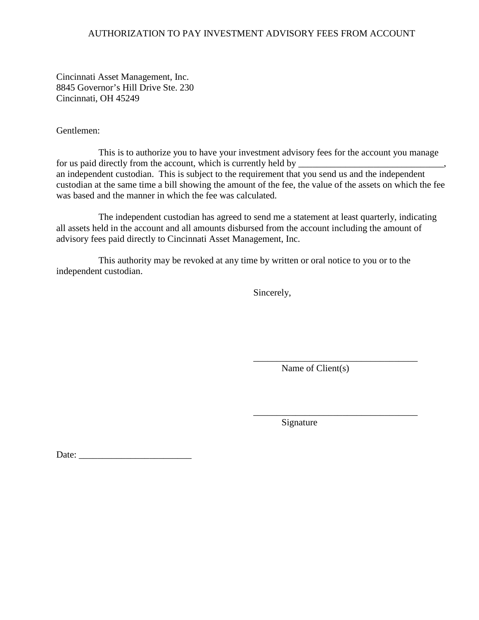# AUTHORIZATION TO PAY INVESTMENT ADVISORY FEES FROM ACCOUNT

Cincinnati Asset Management, Inc. 8845 Governor's Hill Drive Ste. 230 Cincinnati, OH 45249

Gentlemen:

This is to authorize you to have your investment advisory fees for the account you manage for us paid directly from the account, which is currently held by \_\_\_\_\_\_\_\_\_\_\_\_\_\_ an independent custodian. This is subject to the requirement that you send us and the independent custodian at the same time a bill showing the amount of the fee, the value of the assets on which the fee was based and the manner in which the fee was calculated.

The independent custodian has agreed to send me a statement at least quarterly, indicating all assets held in the account and all amounts disbursed from the account including the amount of advisory fees paid directly to Cincinnati Asset Management, Inc.

This authority may be revoked at any time by written or oral notice to you or to the independent custodian.

Sincerely,

Name of Client(s)

\_\_\_\_\_\_\_\_\_\_\_\_\_\_\_\_\_\_\_\_\_\_\_\_\_\_\_\_\_\_\_\_\_\_\_

\_\_\_\_\_\_\_\_\_\_\_\_\_\_\_\_\_\_\_\_\_\_\_\_\_\_\_\_\_\_\_\_\_\_\_

Signature

Date: \_\_\_\_\_\_\_\_\_\_\_\_\_\_\_\_\_\_\_\_\_\_\_\_